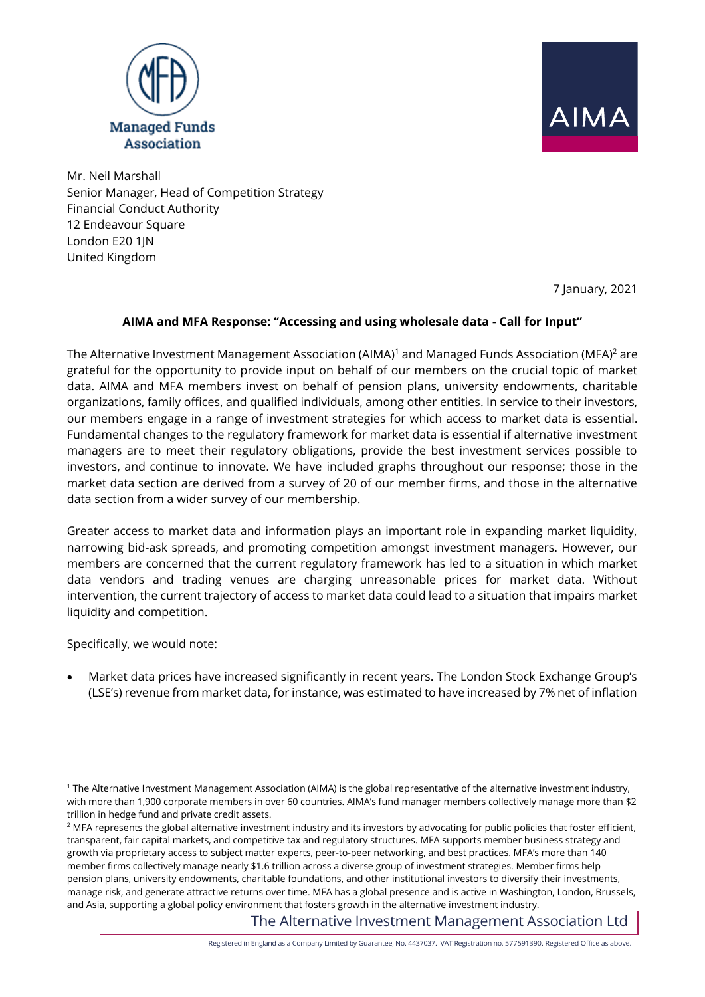



Mr. Neil Marshall Senior Manager, Head of Competition Strategy Financial Conduct Authority 12 Endeavour Square London E20 1IN United Kingdom

7 January, 2021

#### **AIMA and MFA Response: "Accessing and using wholesale data - Call for Input"**

The Alternative Investment Management Association (AIMA)<sup>1</sup> and Managed Funds Association (MFA)<sup>2</sup> are grateful for the opportunity to provide input on behalf of our members on the crucial topic of market data. AIMA and MFA members invest on behalf of pension plans, university endowments, charitable organizations, family offices, and qualified individuals, among other entities. In service to their investors, our members engage in a range of investment strategies for which access to market data is essential. Fundamental changes to the regulatory framework for market data is essential if alternative investment managers are to meet their regulatory obligations, provide the best investment services possible to investors, and continue to innovate. We have included graphs throughout our response; those in the market data section are derived from a survey of 20 of our member firms, and those in the alternative data section from a wider survey of our membership.

Greater access to market data and information plays an important role in expanding market liquidity, narrowing bid-ask spreads, and promoting competition amongst investment managers. However, our members are concerned that the current regulatory framework has led to a situation in which market data vendors and trading venues are charging unreasonable prices for market data. Without intervention, the current trajectory of access to market data could lead to a situation that impairs market liquidity and competition.

Specifically, we would note:

• Market data prices have increased significantly in recent years. The London Stock Exchange Group's (LSE's) revenue from market data, for instance, was estimated to have increased by 7% net of inflation

The Alternative Investment Management Association Ltd

<sup>1</sup> The Alternative Investment Management Association (AIMA) is the global representative of the alternative investment industry, with more than 1,900 corporate members in over 60 countries. AIMA's fund manager members collectively manage more than \$2 trillion in hedge fund and private credit assets.

 $2$  MFA represents the global alternative investment industry and its investors by advocating for public policies that foster efficient, transparent, fair capital markets, and competitive tax and regulatory structures. MFA supports member business strategy and growth via proprietary access to subject matter experts, peer-to-peer networking, and best practices. MFA's more than 140 member firms collectively manage nearly \$1.6 trillion across a diverse group of investment strategies. Member firms help pension plans, university endowments, charitable foundations, and other institutional investors to diversify their investments, manage risk, and generate attractive returns over time. MFA has a global presence and is active in Washington, London, Brussels, and Asia, supporting a global policy environment that fosters growth in the alternative investment industry.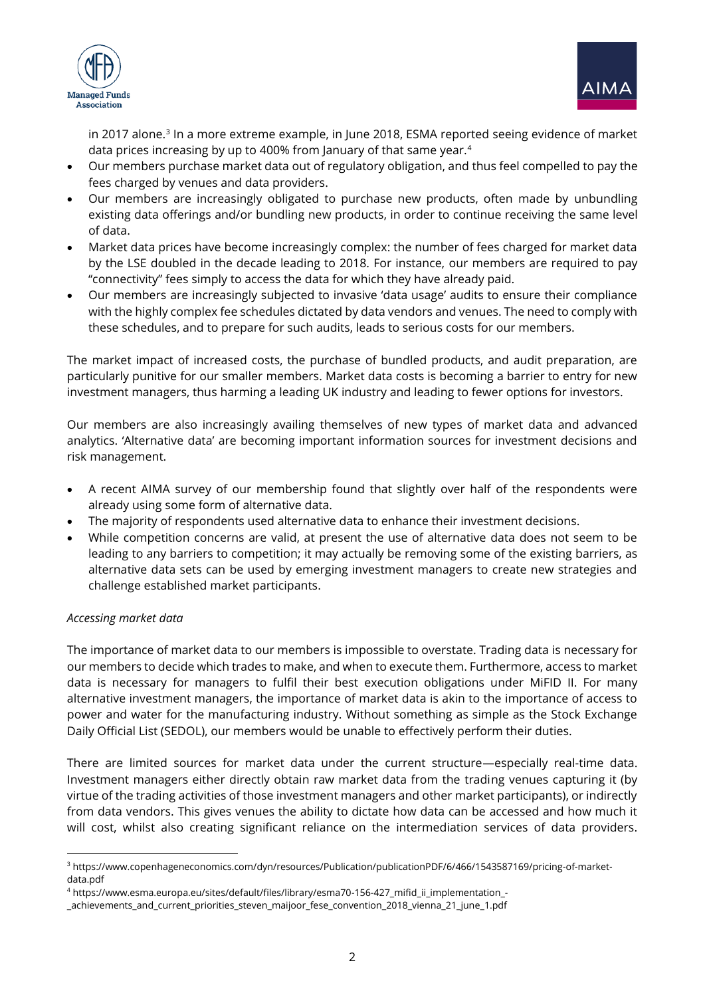



in 2017 alone.<sup>3</sup> In a more extreme example, in June 2018, ESMA reported seeing evidence of market data prices increasing by up to 400% from January of that same year.<sup>4</sup>

- Our members purchase market data out of regulatory obligation, and thus feel compelled to pay the fees charged by venues and data providers.
- Our members are increasingly obligated to purchase new products, often made by unbundling existing data offerings and/or bundling new products, in order to continue receiving the same level of data.
- Market data prices have become increasingly complex: the number of fees charged for market data by the LSE doubled in the decade leading to 2018. For instance, our members are required to pay "connectivity" fees simply to access the data for which they have already paid.
- Our members are increasingly subjected to invasive 'data usage' audits to ensure their compliance with the highly complex fee schedules dictated by data vendors and venues. The need to comply with these schedules, and to prepare for such audits, leads to serious costs for our members.

The market impact of increased costs, the purchase of bundled products, and audit preparation, are particularly punitive for our smaller members. Market data costs is becoming a barrier to entry for new investment managers, thus harming a leading UK industry and leading to fewer options for investors.

Our members are also increasingly availing themselves of new types of market data and advanced analytics. 'Alternative data' are becoming important information sources for investment decisions and risk management.

- A recent AIMA survey of our membership found that slightly over half of the respondents were already using some form of alternative data.
- The majority of respondents used alternative data to enhance their investment decisions.
- While competition concerns are valid, at present the use of alternative data does not seem to be leading to any barriers to competition; it may actually be removing some of the existing barriers, as alternative data sets can be used by emerging investment managers to create new strategies and challenge established market participants.

#### *Accessing market data*

The importance of market data to our members is impossible to overstate. Trading data is necessary for our members to decide which trades to make, and when to execute them. Furthermore, access to market data is necessary for managers to fulfil their best execution obligations under MiFID II. For many alternative investment managers, the importance of market data is akin to the importance of access to power and water for the manufacturing industry. Without something as simple as the Stock Exchange Daily Official List (SEDOL), our members would be unable to effectively perform their duties.

There are limited sources for market data under the current structure—especially real-time data. Investment managers either directly obtain raw market data from the trading venues capturing it (by virtue of the trading activities of those investment managers and other market participants), or indirectly from data vendors. This gives venues the ability to dictate how data can be accessed and how much it will cost, whilst also creating significant reliance on the intermediation services of data providers.

<sup>3</sup> https://www.copenhageneconomics.com/dyn/resources/Publication/publicationPDF/6/466/1543587169/pricing-of-marketdata.pdf

<sup>4</sup> https://www.esma.europa.eu/sites/default/files/library/esma70-156-427\_mifid\_ii\_implementation\_-

\_achievements\_and\_current\_priorities\_steven\_maijoor\_fese\_convention\_2018\_vienna\_21\_june\_1.pdf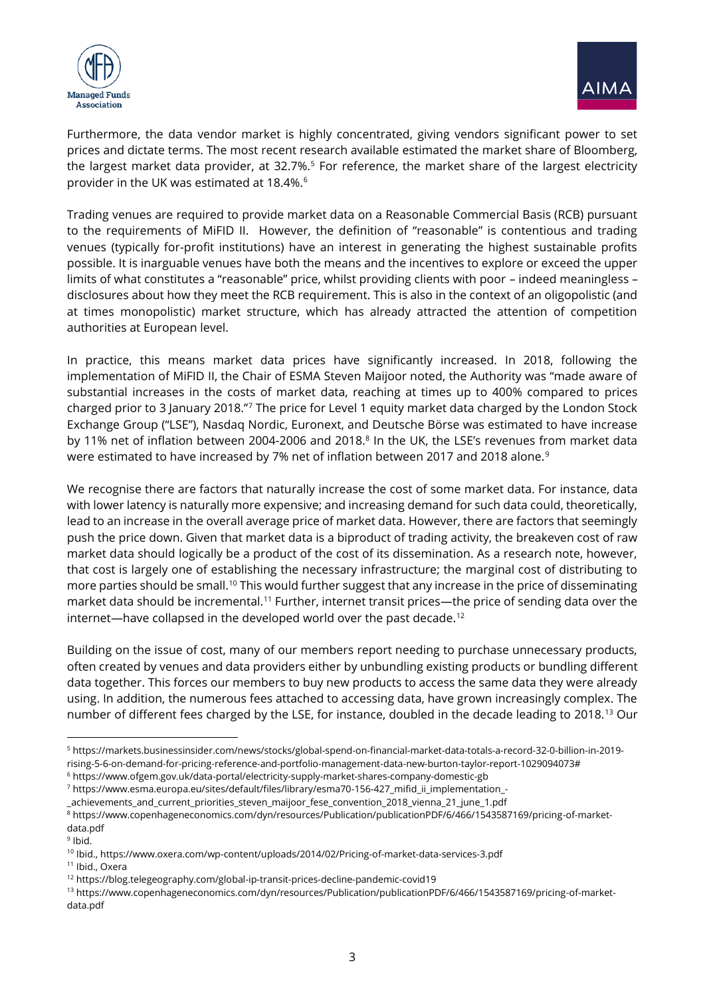



Furthermore, the data vendor market is highly concentrated, giving vendors significant power to set prices and dictate terms. The most recent research available estimated the market share of Bloomberg, the largest market data provider, at 32.7%.<sup>5</sup> For reference, the market share of the largest electricity provider in the UK was estimated at 18.4%.<sup>6</sup>

Trading venues are required to provide market data on a Reasonable Commercial Basis (RCB) pursuant to the requirements of MiFID II. However, the definition of "reasonable" is contentious and trading venues (typically for-profit institutions) have an interest in generating the highest sustainable profits possible. It is inarguable venues have both the means and the incentives to explore or exceed the upper limits of what constitutes a "reasonable" price, whilst providing clients with poor – indeed meaningless – disclosures about how they meet the RCB requirement. This is also in the context of an oligopolistic (and at times monopolistic) market structure, which has already attracted the attention of competition authorities at European level.

In practice, this means market data prices have significantly increased. In 2018, following the implementation of MiFID II, the Chair of ESMA Steven Maijoor noted, the Authority was "made aware of substantial increases in the costs of market data, reaching at times up to 400% compared to prices charged prior to 3 January 2018."<sup>7</sup> The price for Level 1 equity market data charged by the London Stock Exchange Group ("LSE"), Nasdaq Nordic, Euronext, and Deutsche Börse was estimated to have increase by 11% net of inflation between 2004-2006 and 2018. $8$  In the UK, the LSE's revenues from market data were estimated to have increased by 7% net of inflation between 2017 and 2018 alone.<sup>9</sup>

We recognise there are factors that naturally increase the cost of some market data. For instance, data with lower latency is naturally more expensive; and increasing demand for such data could, theoretically, lead to an increase in the overall average price of market data. However, there are factors that seemingly push the price down. Given that market data is a biproduct of trading activity, the breakeven cost of raw market data should logically be a product of the cost of its dissemination. As a research note, however, that cost is largely one of establishing the necessary infrastructure; the marginal cost of distributing to more parties should be small.<sup>10</sup> This would further suggest that any increase in the price of disseminating market data should be incremental.<sup>11</sup> Further, internet transit prices—the price of sending data over the internet—have collapsed in the developed world over the past decade.<sup>12</sup>

Building on the issue of cost, many of our members report needing to purchase unnecessary products, often created by venues and data providers either by unbundling existing products or bundling different data together. This forces our members to buy new products to access the same data they were already using. In addition, the numerous fees attached to accessing data, have grown increasingly complex. The number of different fees charged by the LSE, for instance, doubled in the decade leading to 2018.<sup>13</sup> Our

<sup>5</sup> https://markets.businessinsider.com/news/stocks/global-spend-on-financial-market-data-totals-a-record-32-0-billion-in-2019 rising-5-6-on-demand-for-pricing-reference-and-portfolio-management-data-new-burton-taylor-report-1029094073#

<sup>6</sup> https://www.ofgem.gov.uk/data-portal/electricity-supply-market-shares-company-domestic-gb

<sup>7</sup> https://www.esma.europa.eu/sites/default/files/library/esma70-156-427\_mifid\_ii\_implementation\_-

\_achievements\_and\_current\_priorities\_steven\_maijoor\_fese\_convention\_2018\_vienna\_21\_june\_1.pdf

<sup>8</sup> https://www.copenhageneconomics.com/dyn/resources/Publication/publicationPDF/6/466/1543587169/pricing-of-marketdata.pdf

<sup>&</sup>lt;sup>9</sup> Ibid.

<sup>10</sup> Ibid., https://www.oxera.com/wp-content/uploads/2014/02/Pricing-of-market-data-services-3.pdf

<sup>11</sup> Ibid., Oxera

<sup>12</sup> https://blog.telegeography.com/global-ip-transit-prices-decline-pandemic-covid19

<sup>13</sup> https://www.copenhageneconomics.com/dyn/resources/Publication/publicationPDF/6/466/1543587169/pricing-of-marketdata.pdf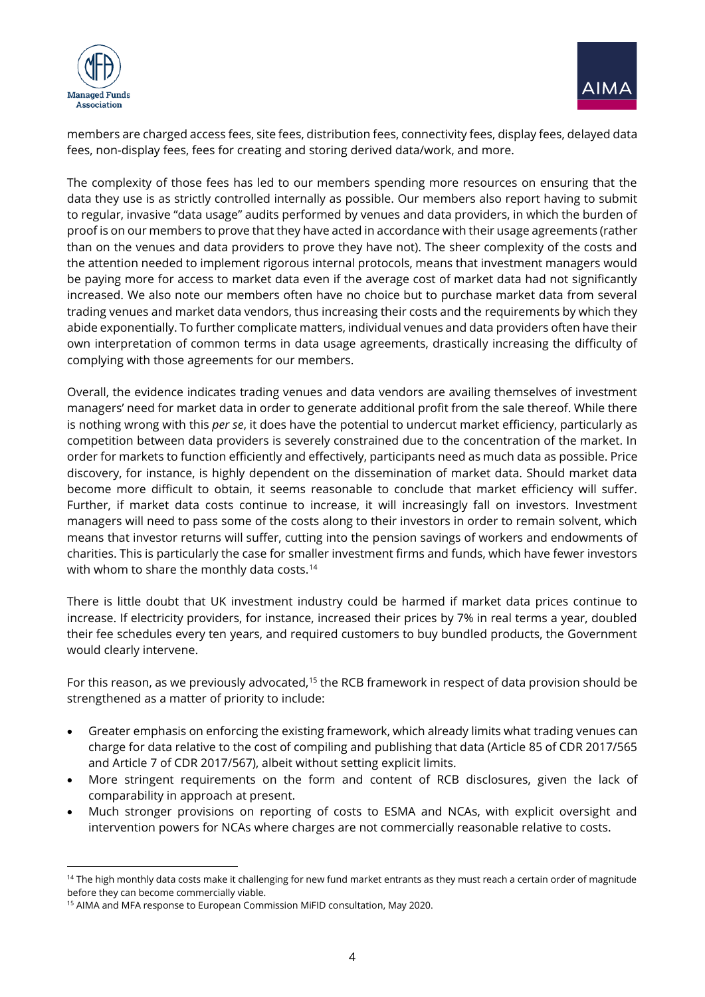



members are charged access fees, site fees, distribution fees, connectivity fees, display fees, delayed data fees, non-display fees, fees for creating and storing derived data/work, and more.

The complexity of those fees has led to our members spending more resources on ensuring that the data they use is as strictly controlled internally as possible. Our members also report having to submit to regular, invasive "data usage" audits performed by venues and data providers, in which the burden of proof is on our members to prove that they have acted in accordance with their usage agreements (rather than on the venues and data providers to prove they have not). The sheer complexity of the costs and the attention needed to implement rigorous internal protocols, means that investment managers would be paying more for access to market data even if the average cost of market data had not significantly increased. We also note our members often have no choice but to purchase market data from several trading venues and market data vendors, thus increasing their costs and the requirements by which they abide exponentially. To further complicate matters, individual venues and data providers often have their own interpretation of common terms in data usage agreements, drastically increasing the difficulty of complying with those agreements for our members.

Overall, the evidence indicates trading venues and data vendors are availing themselves of investment managers' need for market data in order to generate additional profit from the sale thereof. While there is nothing wrong with this *per se*, it does have the potential to undercut market efficiency, particularly as competition between data providers is severely constrained due to the concentration of the market. In order for markets to function efficiently and effectively, participants need as much data as possible. Price discovery, for instance, is highly dependent on the dissemination of market data. Should market data become more difficult to obtain, it seems reasonable to conclude that market efficiency will suffer. Further, if market data costs continue to increase, it will increasingly fall on investors. Investment managers will need to pass some of the costs along to their investors in order to remain solvent, which means that investor returns will suffer, cutting into the pension savings of workers and endowments of charities. This is particularly the case for smaller investment firms and funds, which have fewer investors with whom to share the monthly data costs.<sup>14</sup>

There is little doubt that UK investment industry could be harmed if market data prices continue to increase. If electricity providers, for instance, increased their prices by 7% in real terms a year, doubled their fee schedules every ten years, and required customers to buy bundled products, the Government would clearly intervene.

For this reason, as we previously advocated,<sup>15</sup> the RCB framework in respect of data provision should be strengthened as a matter of priority to include:

- Greater emphasis on enforcing the existing framework, which already limits what trading venues can charge for data relative to the cost of compiling and publishing that data (Article 85 of CDR 2017/565 and Article 7 of CDR 2017/567), albeit without setting explicit limits.
- More stringent requirements on the form and content of RCB disclosures, given the lack of comparability in approach at present.
- Much stronger provisions on reporting of costs to ESMA and NCAs, with explicit oversight and intervention powers for NCAs where charges are not commercially reasonable relative to costs.

<sup>&</sup>lt;sup>14</sup> The high monthly data costs make it challenging for new fund market entrants as they must reach a certain order of magnitude before they can become commercially viable.

<sup>&</sup>lt;sup>15</sup> AIMA and MFA response to European Commission MiFID consultation, May 2020.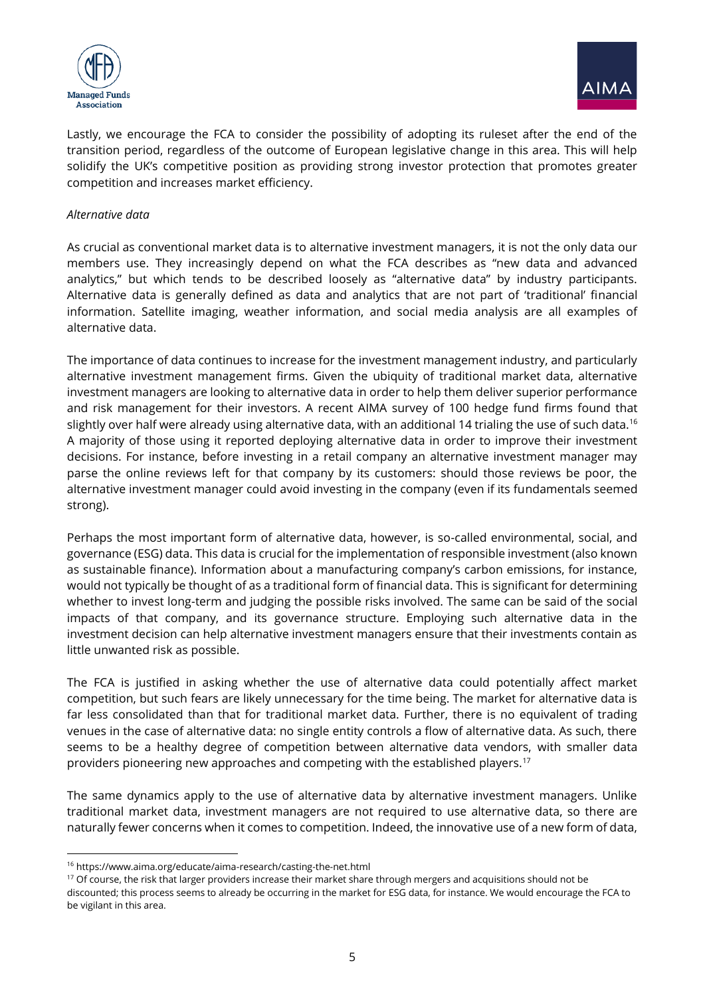



Lastly, we encourage the FCA to consider the possibility of adopting its ruleset after the end of the transition period, regardless of the outcome of European legislative change in this area. This will help solidify the UK's competitive position as providing strong investor protection that promotes greater competition and increases market efficiency.

#### *Alternative data*

As crucial as conventional market data is to alternative investment managers, it is not the only data our members use. They increasingly depend on what the FCA describes as "new data and advanced analytics," but which tends to be described loosely as "alternative data" by industry participants. Alternative data is generally defined as data and analytics that are not part of 'traditional' financial information. Satellite imaging, weather information, and social media analysis are all examples of alternative data.

The importance of data continues to increase for the investment management industry, and particularly alternative investment management firms. Given the ubiquity of traditional market data, alternative investment managers are looking to alternative data in order to help them deliver superior performance and risk management for their investors. A recent AIMA survey of 100 hedge fund firms found that slightly over half were already using alternative data, with an additional 14 trialing the use of such data.<sup>16</sup> A majority of those using it reported deploying alternative data in order to improve their investment decisions. For instance, before investing in a retail company an alternative investment manager may parse the online reviews left for that company by its customers: should those reviews be poor, the alternative investment manager could avoid investing in the company (even if its fundamentals seemed strong).

Perhaps the most important form of alternative data, however, is so-called environmental, social, and governance (ESG) data. This data is crucial for the implementation of responsible investment (also known as sustainable finance). Information about a manufacturing company's carbon emissions, for instance, would not typically be thought of as a traditional form of financial data. This is significant for determining whether to invest long-term and judging the possible risks involved. The same can be said of the social impacts of that company, and its governance structure. Employing such alternative data in the investment decision can help alternative investment managers ensure that their investments contain as little unwanted risk as possible.

The FCA is justified in asking whether the use of alternative data could potentially affect market competition, but such fears are likely unnecessary for the time being. The market for alternative data is far less consolidated than that for traditional market data. Further, there is no equivalent of trading venues in the case of alternative data: no single entity controls a flow of alternative data. As such, there seems to be a healthy degree of competition between alternative data vendors, with smaller data providers pioneering new approaches and competing with the established players.<sup>17</sup>

The same dynamics apply to the use of alternative data by alternative investment managers. Unlike traditional market data, investment managers are not required to use alternative data, so there are naturally fewer concerns when it comes to competition. Indeed, the innovative use of a new form of data,

<sup>16</sup> https://www.aima.org/educate/aima-research/casting-the-net.html

<sup>&</sup>lt;sup>17</sup> Of course, the risk that larger providers increase their market share through mergers and acquisitions should not be discounted; this process seems to already be occurring in the market for ESG data, for instance. We would encourage the FCA to be vigilant in this area.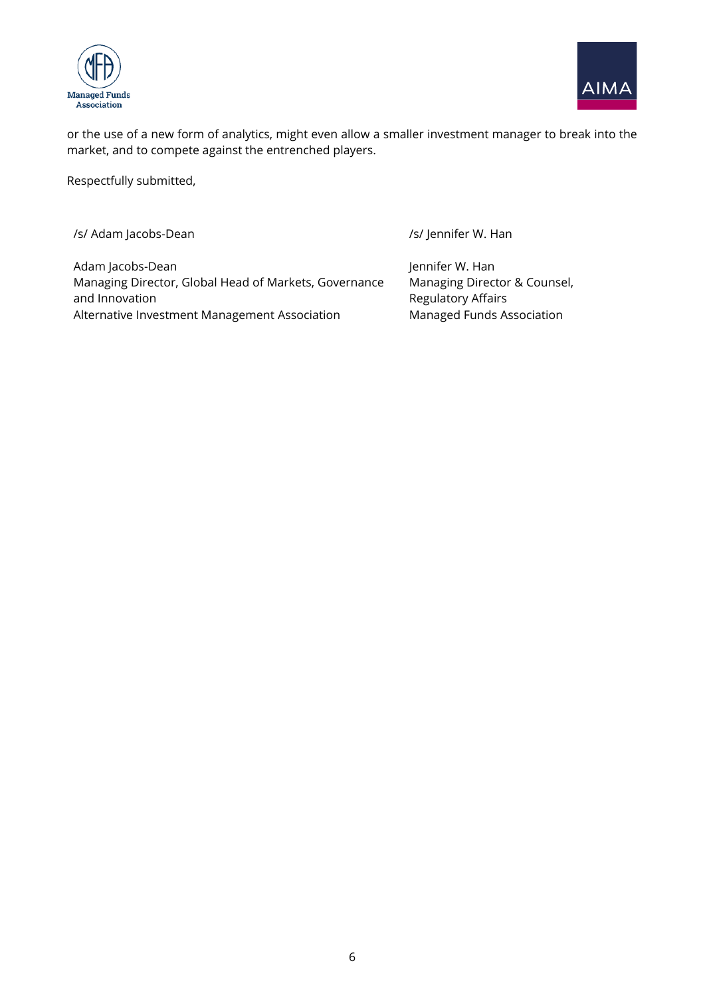



or the use of a new form of analytics, might even allow a smaller investment manager to break into the market, and to compete against the entrenched players.

Respectfully submitted,

/s/ Adam Jacobs-Dean /s/ Jennifer W. Han Adam Jacobs-Dean Managing Director, Global Head of Markets, Governance and Innovation Alternative Investment Management Association Jennifer W. Han Managing Director & Counsel, Regulatory Affairs Managed Funds Association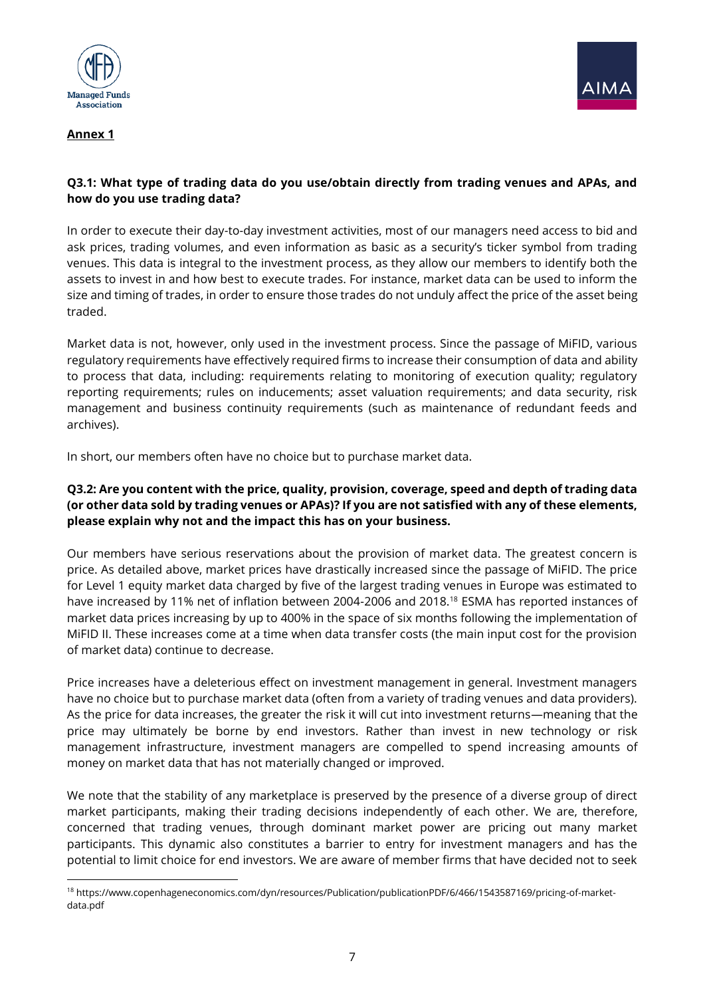

# **Annex 1**



# **Q3.1: What type of trading data do you use/obtain directly from trading venues and APAs, and how do you use trading data?**

In order to execute their day-to-day investment activities, most of our managers need access to bid and ask prices, trading volumes, and even information as basic as a security's ticker symbol from trading venues. This data is integral to the investment process, as they allow our members to identify both the assets to invest in and how best to execute trades. For instance, market data can be used to inform the size and timing of trades, in order to ensure those trades do not unduly affect the price of the asset being traded.

Market data is not, however, only used in the investment process. Since the passage of MiFID, various regulatory requirements have effectively required firms to increase their consumption of data and ability to process that data, including: requirements relating to monitoring of execution quality; regulatory reporting requirements; rules on inducements; asset valuation requirements; and data security, risk management and business continuity requirements (such as maintenance of redundant feeds and archives).

In short, our members often have no choice but to purchase market data.

## **Q3.2: Are you content with the price, quality, provision, coverage, speed and depth of trading data (or other data sold by trading venues or APAs)? If you are not satisfied with any of these elements, please explain why not and the impact this has on your business.**

Our members have serious reservations about the provision of market data. The greatest concern is price. As detailed above, market prices have drastically increased since the passage of MiFID. The price for Level 1 equity market data charged by five of the largest trading venues in Europe was estimated to have increased by 11% net of inflation between 2004-2006 and 2018.<sup>18</sup> ESMA has reported instances of market data prices increasing by up to 400% in the space of six months following the implementation of MiFID II. These increases come at a time when data transfer costs (the main input cost for the provision of market data) continue to decrease.

Price increases have a deleterious effect on investment management in general. Investment managers have no choice but to purchase market data (often from a variety of trading venues and data providers). As the price for data increases, the greater the risk it will cut into investment returns—meaning that the price may ultimately be borne by end investors. Rather than invest in new technology or risk management infrastructure, investment managers are compelled to spend increasing amounts of money on market data that has not materially changed or improved.

We note that the stability of any marketplace is preserved by the presence of a diverse group of direct market participants, making their trading decisions independently of each other. We are, therefore, concerned that trading venues, through dominant market power are pricing out many market participants. This dynamic also constitutes a barrier to entry for investment managers and has the potential to limit choice for end investors. We are aware of member firms that have decided not to seek

<sup>18</sup> https://www.copenhageneconomics.com/dyn/resources/Publication/publicationPDF/6/466/1543587169/pricing-of-marketdata.pdf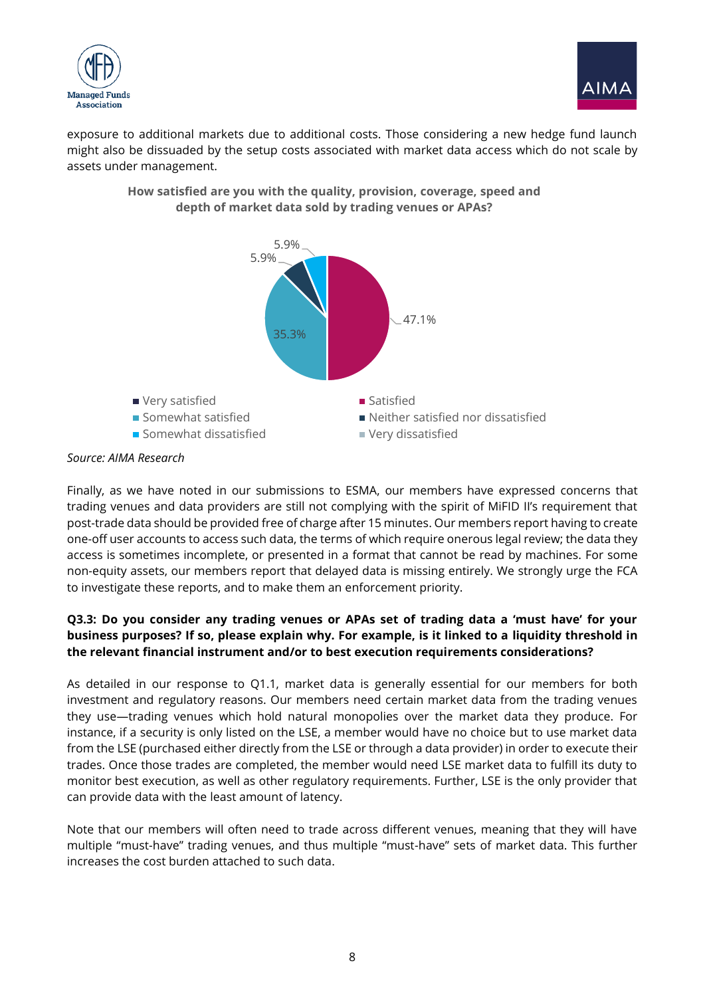



exposure to additional markets due to additional costs. Those considering a new hedge fund launch might also be dissuaded by the setup costs associated with market data access which do not scale by assets under management.



**How satisfied are you with the quality, provision, coverage, speed and depth of market data sold by trading venues or APAs?**

Finally, as we have noted in our submissions to ESMA, our members have expressed concerns that trading venues and data providers are still not complying with the spirit of MiFID II's requirement that post-trade data should be provided free of charge after 15 minutes. Our members report having to create one-off user accounts to access such data, the terms of which require onerous legal review; the data they access is sometimes incomplete, or presented in a format that cannot be read by machines. For some non-equity assets, our members report that delayed data is missing entirely. We strongly urge the FCA to investigate these reports, and to make them an enforcement priority.

# **Q3.3: Do you consider any trading venues or APAs set of trading data a 'must have' for your business purposes? If so, please explain why. For example, is it linked to a liquidity threshold in the relevant financial instrument and/or to best execution requirements considerations?**

As detailed in our response to Q1.1, market data is generally essential for our members for both investment and regulatory reasons. Our members need certain market data from the trading venues they use—trading venues which hold natural monopolies over the market data they produce. For instance, if a security is only listed on the LSE, a member would have no choice but to use market data from the LSE (purchased either directly from the LSE or through a data provider) in order to execute their trades. Once those trades are completed, the member would need LSE market data to fulfill its duty to monitor best execution, as well as other regulatory requirements. Further, LSE is the only provider that can provide data with the least amount of latency.

Note that our members will often need to trade across different venues, meaning that they will have multiple "must-have" trading venues, and thus multiple "must-have" sets of market data. This further increases the cost burden attached to such data.

*Source: AIMA Research*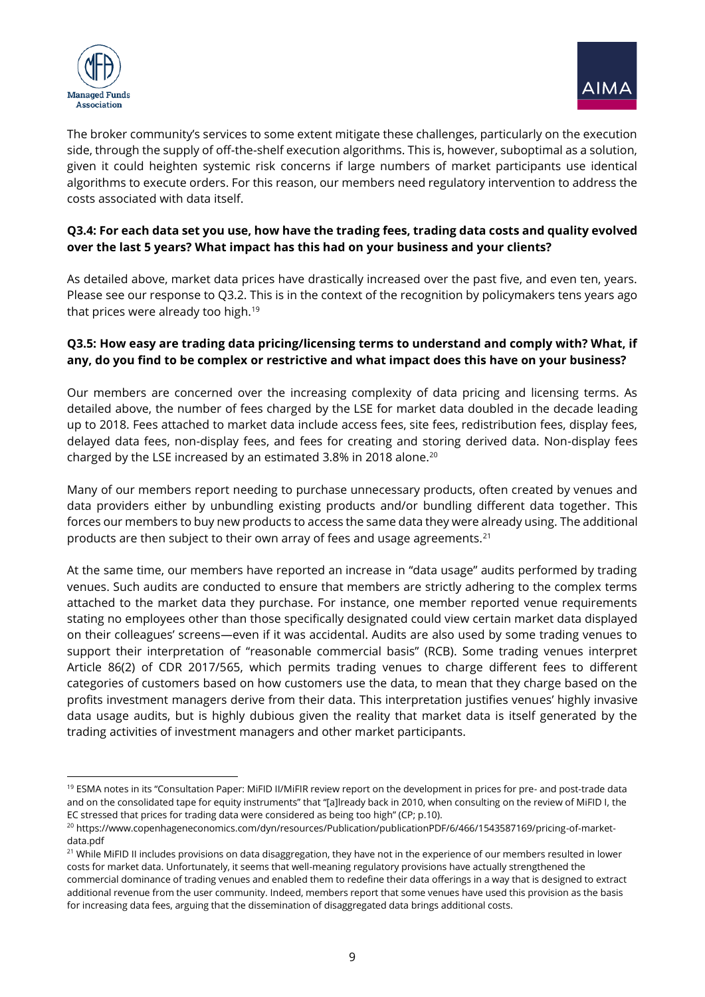



The broker community's services to some extent mitigate these challenges, particularly on the execution side, through the supply of off-the-shelf execution algorithms. This is, however, suboptimal as a solution, given it could heighten systemic risk concerns if large numbers of market participants use identical algorithms to execute orders. For this reason, our members need regulatory intervention to address the costs associated with data itself.

#### **Q3.4: For each data set you use, how have the trading fees, trading data costs and quality evolved over the last 5 years? What impact has this had on your business and your clients?**

As detailed above, market data prices have drastically increased over the past five, and even ten, years. Please see our response to Q3.2. This is in the context of the recognition by policymakers tens years ago that prices were already too high.<sup>19</sup>

#### **Q3.5: How easy are trading data pricing/licensing terms to understand and comply with? What, if any, do you find to be complex or restrictive and what impact does this have on your business?**

Our members are concerned over the increasing complexity of data pricing and licensing terms. As detailed above, the number of fees charged by the LSE for market data doubled in the decade leading up to 2018. Fees attached to market data include access fees, site fees, redistribution fees, display fees, delayed data fees, non-display fees, and fees for creating and storing derived data. Non-display fees charged by the LSE increased by an estimated 3.8% in 2018 alone.<sup>20</sup>

Many of our members report needing to purchase unnecessary products, often created by venues and data providers either by unbundling existing products and/or bundling different data together. This forces our members to buy new products to access the same data they were already using. The additional products are then subject to their own array of fees and usage agreements.<sup>21</sup>

At the same time, our members have reported an increase in "data usage" audits performed by trading venues. Such audits are conducted to ensure that members are strictly adhering to the complex terms attached to the market data they purchase. For instance, one member reported venue requirements stating no employees other than those specifically designated could view certain market data displayed on their colleagues' screens—even if it was accidental. Audits are also used by some trading venues to support their interpretation of "reasonable commercial basis" (RCB). Some trading venues interpret Article 86(2) of CDR 2017/565, which permits trading venues to charge different fees to different categories of customers based on how customers use the data, to mean that they charge based on the profits investment managers derive from their data. This interpretation justifies venues' highly invasive data usage audits, but is highly dubious given the reality that market data is itself generated by the trading activities of investment managers and other market participants.

<sup>19</sup> ESMA notes in its "Consultation Paper: MiFID II/MiFIR review report on the development in prices for pre- and post-trade data and on the consolidated tape for equity instruments" that "[a]lready back in 2010, when consulting on the review of MiFID I, the EC stressed that prices for trading data were considered as being too high" (CP; p.10).

<sup>&</sup>lt;sup>20</sup> https://www.copenhageneconomics.com/dyn/resources/Publication/publicationPDF/6/466/1543587169/pricing-of-marketdata ndf

<sup>&</sup>lt;sup>21</sup> While MiFID II includes provisions on data disaggregation, they have not in the experience of our members resulted in lower costs for market data. Unfortunately, it seems that well-meaning regulatory provisions have actually strengthened the commercial dominance of trading venues and enabled them to redefine their data offerings in a way that is designed to extract additional revenue from the user community. Indeed, members report that some venues have used this provision as the basis for increasing data fees, arguing that the dissemination of disaggregated data brings additional costs.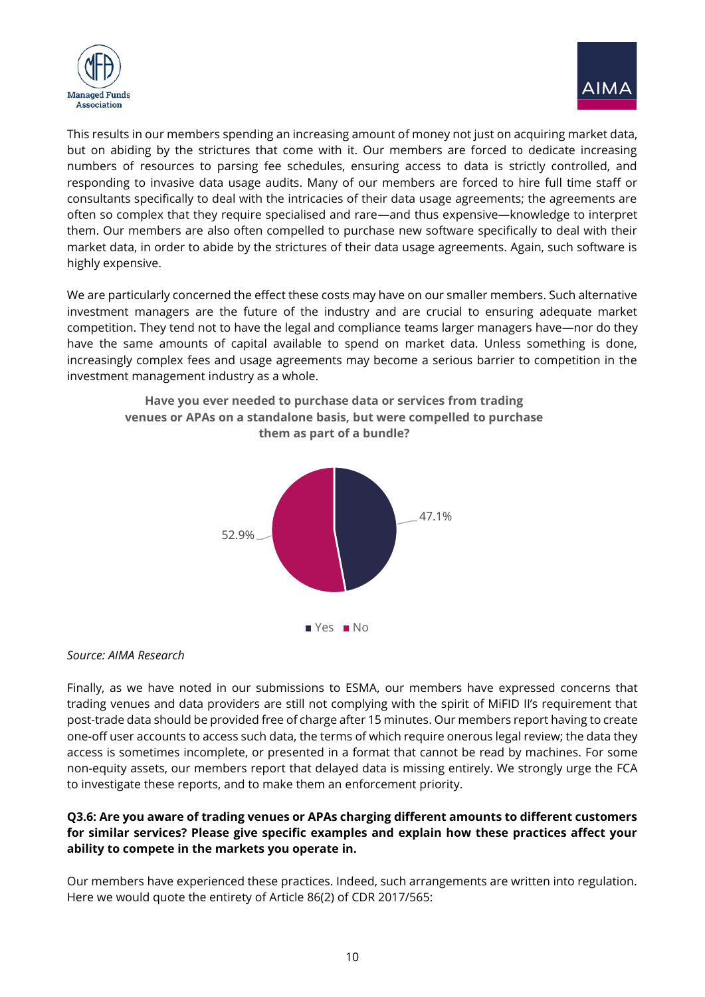



This results in our members spending an increasing amount of money not just on acquiring market data, but on abiding by the strictures that come with it. Our members are forced to dedicate increasing numbers of resources to parsing fee schedules, ensuring access to data is strictly controlled, and responding to invasive data usage audits. Many of our members are forced to hire full time staff or consultants specifically to deal with the intricacies of their data usage agreements; the agreements are often so complex that they require specialised and rare—and thus expensive—knowledge to interpret them. Our members are also often compelled to purchase new software specifically to deal with their market data, in order to abide by the strictures of their data usage agreements. Again, such software is highly expensive.

We are particularly concerned the effect these costs may have on our smaller members. Such alternative investment managers are the future of the industry and are crucial to ensuring adequate market competition. They tend not to have the legal and compliance teams larger managers have—nor do they have the same amounts of capital available to spend on market data. Unless something is done, increasingly complex fees and usage agreements may become a serious barrier to competition in the investment management industry as a whole.



# **venues or APAs on a standalone basis, but were compelled to purchase them as part of a bundle?**

**Have you ever needed to purchase data or services from trading** 

#### *Source: AIMA Research*

Finally, as we have noted in our submissions to ESMA, our members have expressed concerns that trading venues and data providers are still not complying with the spirit of MiFID II's requirement that post-trade data should be provided free of charge after 15 minutes. Our members report having to create one-off user accounts to access such data, the terms of which require onerous legal review; the data they access is sometimes incomplete, or presented in a format that cannot be read by machines. For some non-equity assets, our members report that delayed data is missing entirely. We strongly urge the FCA to investigate these reports, and to make them an enforcement priority.

#### **Q3.6: Are you aware of trading venues or APAs charging different amounts to different customers for similar services? Please give specific examples and explain how these practices affect your ability to compete in the markets you operate in.**

Our members have experienced these practices. Indeed, such arrangements are written into regulation. Here we would quote the entirety of Article 86(2) of CDR 2017/565: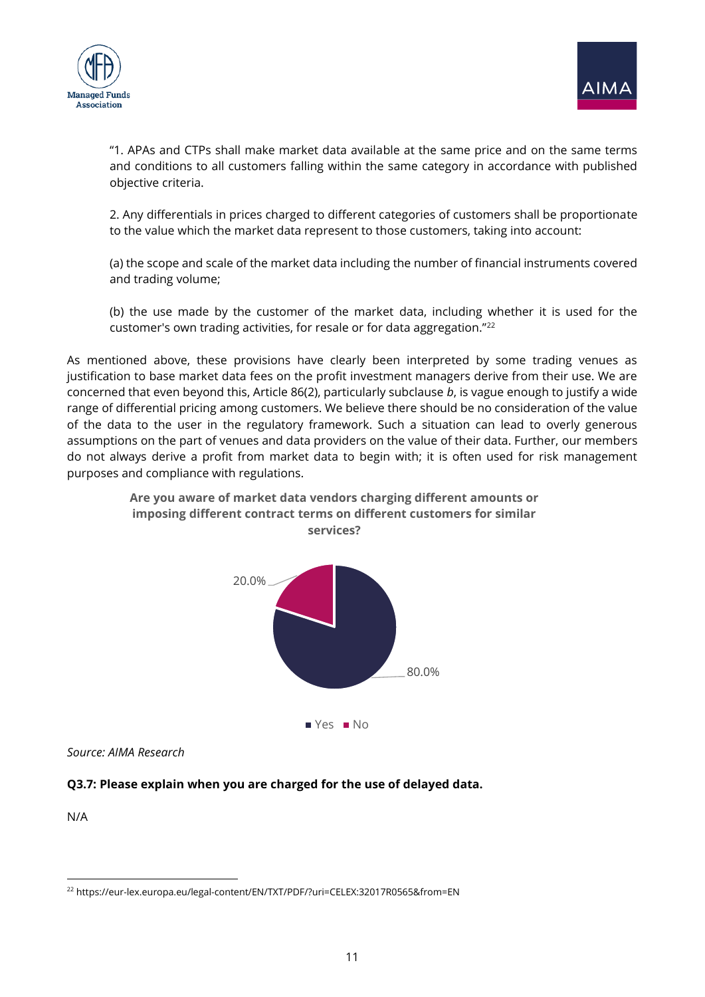



"1. APAs and CTPs shall make market data available at the same price and on the same terms and conditions to all customers falling within the same category in accordance with published objective criteria.

2. Any differentials in prices charged to different categories of customers shall be proportionate to the value which the market data represent to those customers, taking into account:

(a) the scope and scale of the market data including the number of financial instruments covered and trading volume;

(b) the use made by the customer of the market data, including whether it is used for the customer's own trading activities, for resale or for data aggregation."<sup>22</sup>

As mentioned above, these provisions have clearly been interpreted by some trading venues as justification to base market data fees on the profit investment managers derive from their use. We are concerned that even beyond this, Article 86(2), particularly subclause *b*, is vague enough to justify a wide range of differential pricing among customers. We believe there should be no consideration of the value of the data to the user in the regulatory framework. Such a situation can lead to overly generous assumptions on the part of venues and data providers on the value of their data. Further, our members do not always derive a profit from market data to begin with; it is often used for risk management purposes and compliance with regulations.

> **Are you aware of market data vendors charging different amounts or imposing different contract terms on different customers for similar**



*Source: AIMA Research*

#### **Q3.7: Please explain when you are charged for the use of delayed data.**

N/A

<sup>22</sup> https://eur-lex.europa.eu/legal-content/EN/TXT/PDF/?uri=CELEX:32017R0565&from=EN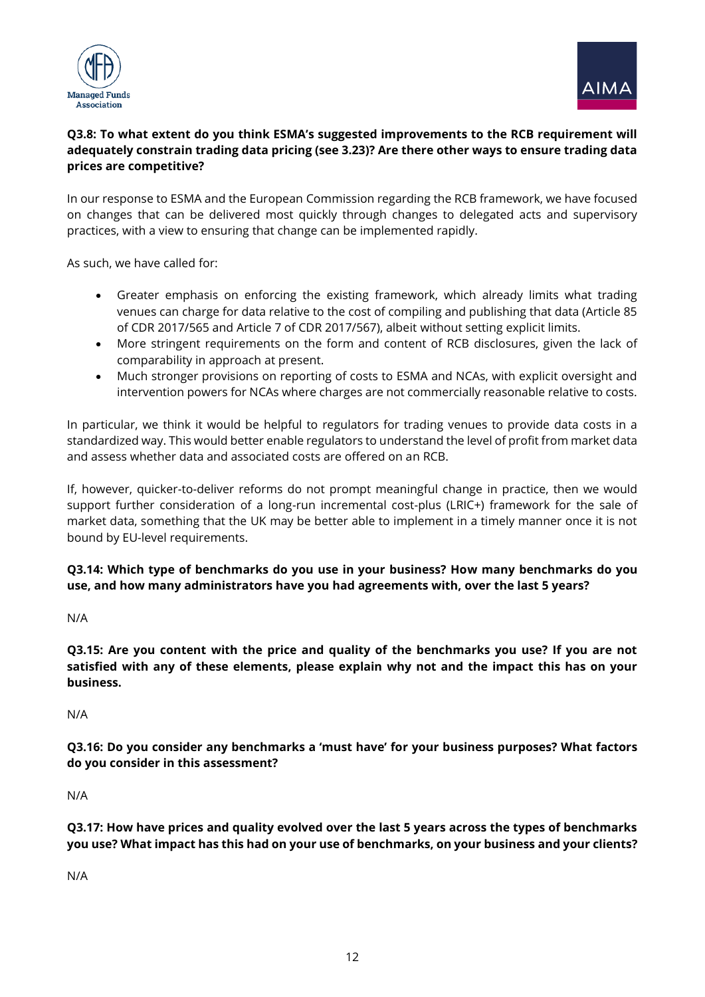



# **Q3.8: To what extent do you think ESMA's suggested improvements to the RCB requirement will adequately constrain trading data pricing (see 3.23)? Are there other ways to ensure trading data prices are competitive?**

In our response to ESMA and the European Commission regarding the RCB framework, we have focused on changes that can be delivered most quickly through changes to delegated acts and supervisory practices, with a view to ensuring that change can be implemented rapidly.

As such, we have called for:

- Greater emphasis on enforcing the existing framework, which already limits what trading venues can charge for data relative to the cost of compiling and publishing that data (Article 85 of CDR 2017/565 and Article 7 of CDR 2017/567), albeit without setting explicit limits.
- More stringent requirements on the form and content of RCB disclosures, given the lack of comparability in approach at present.
- Much stronger provisions on reporting of costs to ESMA and NCAs, with explicit oversight and intervention powers for NCAs where charges are not commercially reasonable relative to costs.

In particular, we think it would be helpful to regulators for trading venues to provide data costs in a standardized way. This would better enable regulators to understand the level of profit from market data and assess whether data and associated costs are offered on an RCB.

If, however, quicker-to-deliver reforms do not prompt meaningful change in practice, then we would support further consideration of a long-run incremental cost-plus (LRIC+) framework for the sale of market data, something that the UK may be better able to implement in a timely manner once it is not bound by EU-level requirements.

# **Q3.14: Which type of benchmarks do you use in your business? How many benchmarks do you use, and how many administrators have you had agreements with, over the last 5 years?**

N/A

**Q3.15: Are you content with the price and quality of the benchmarks you use? If you are not satisfied with any of these elements, please explain why not and the impact this has on your business.** 

N/A

**Q3.16: Do you consider any benchmarks a 'must have' for your business purposes? What factors do you consider in this assessment?**

N/A

**Q3.17: How have prices and quality evolved over the last 5 years across the types of benchmarks you use? What impact has this had on your use of benchmarks, on your business and your clients?** 

N/A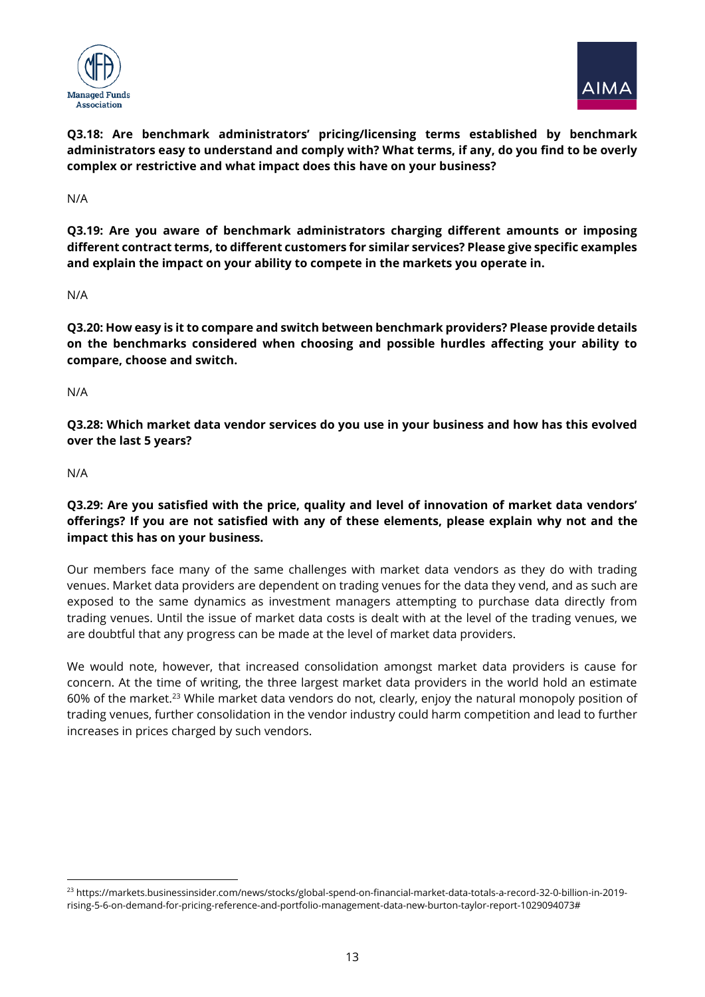



**Q3.18: Are benchmark administrators' pricing/licensing terms established by benchmark administrators easy to understand and comply with? What terms, if any, do you find to be overly complex or restrictive and what impact does this have on your business?** 

N/A

**Q3.19: Are you aware of benchmark administrators charging different amounts or imposing different contract terms, to different customers for similar services? Please give specific examples and explain the impact on your ability to compete in the markets you operate in.** 

N/A

**Q3.20: How easy is it to compare and switch between benchmark providers? Please provide details on the benchmarks considered when choosing and possible hurdles affecting your ability to compare, choose and switch.**

N/A

**Q3.28: Which market data vendor services do you use in your business and how has this evolved over the last 5 years?** 

N/A

**Q3.29: Are you satisfied with the price, quality and level of innovation of market data vendors' offerings? If you are not satisfied with any of these elements, please explain why not and the impact this has on your business.** 

Our members face many of the same challenges with market data vendors as they do with trading venues. Market data providers are dependent on trading venues for the data they vend, and as such are exposed to the same dynamics as investment managers attempting to purchase data directly from trading venues. Until the issue of market data costs is dealt with at the level of the trading venues, we are doubtful that any progress can be made at the level of market data providers.

We would note, however, that increased consolidation amongst market data providers is cause for concern. At the time of writing, the three largest market data providers in the world hold an estimate 60% of the market.<sup>23</sup> While market data vendors do not, clearly, enjoy the natural monopoly position of trading venues, further consolidation in the vendor industry could harm competition and lead to further increases in prices charged by such vendors.

<sup>23</sup> https://markets.businessinsider.com/news/stocks/global-spend-on-financial-market-data-totals-a-record-32-0-billion-in-2019 rising-5-6-on-demand-for-pricing-reference-and-portfolio-management-data-new-burton-taylor-report-1029094073#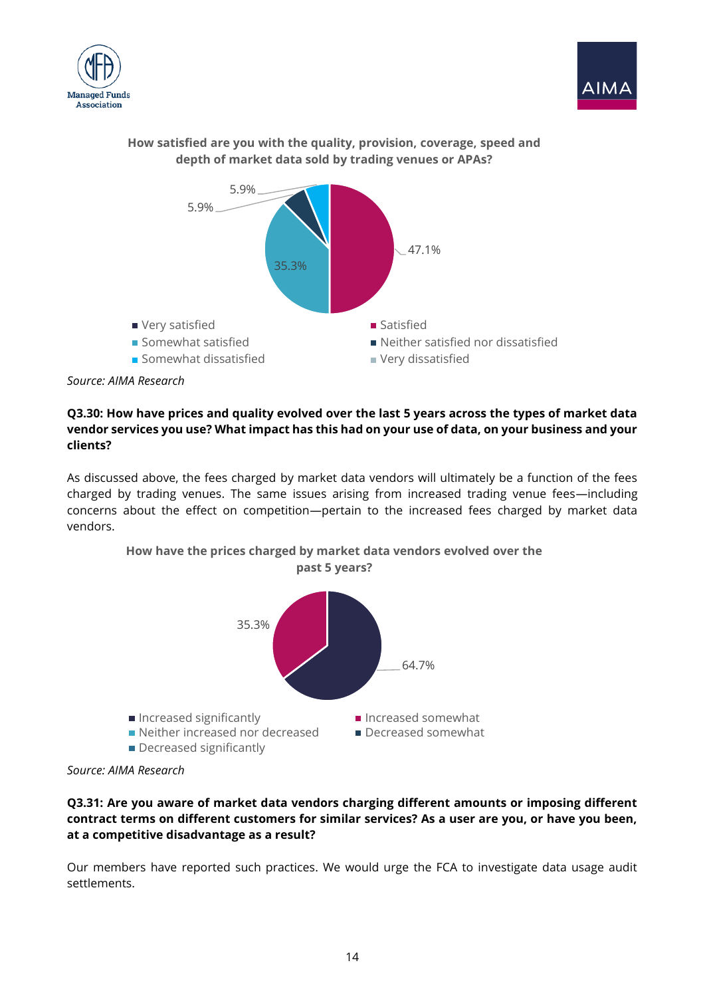





#### **How satisfied are you with the quality, provision, coverage, speed and depth of market data sold by trading venues or APAs?**

# **Q3.30: How have prices and quality evolved over the last 5 years across the types of market data vendor services you use? What impact has this had on your use of data, on your business and your clients?**

As discussed above, the fees charged by market data vendors will ultimately be a function of the fees charged by trading venues. The same issues arising from increased trading venue fees—including concerns about the effect on competition—pertain to the increased fees charged by market data vendors.



**How have the prices charged by market data vendors evolved over the past 5 years?**

#### **Q3.31: Are you aware of market data vendors charging different amounts or imposing different contract terms on different customers for similar services? As a user are you, or have you been, at a competitive disadvantage as a result?**

Our members have reported such practices. We would urge the FCA to investigate data usage audit settlements.

*Source: AIMA Research*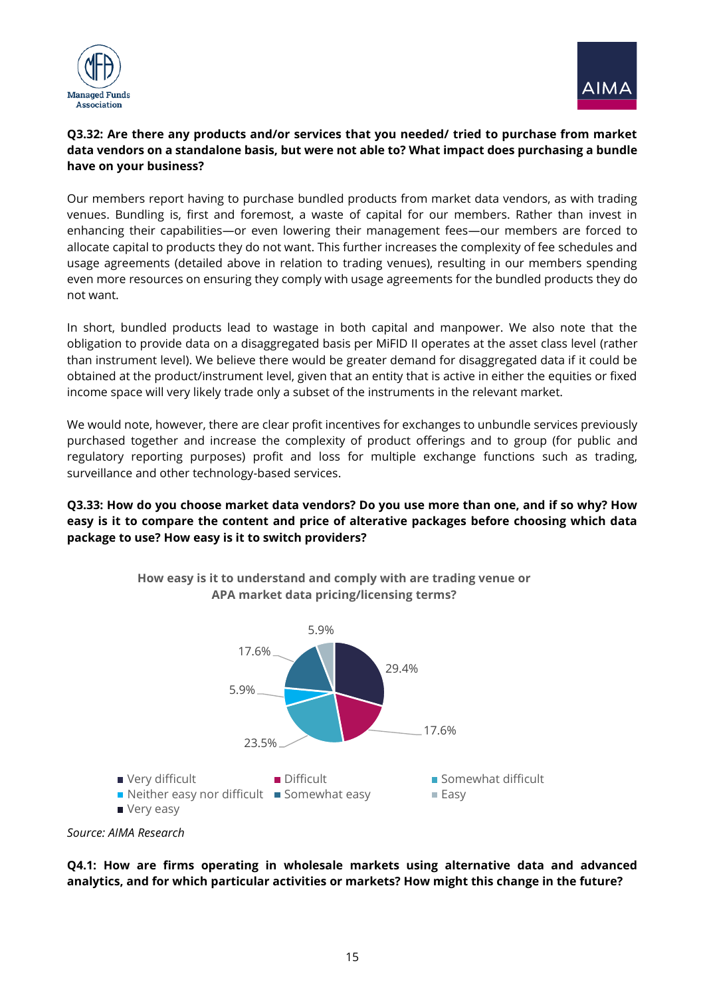



#### **Q3.32: Are there any products and/or services that you needed/ tried to purchase from market data vendors on a standalone basis, but were not able to? What impact does purchasing a bundle have on your business?**

Our members report having to purchase bundled products from market data vendors, as with trading venues. Bundling is, first and foremost, a waste of capital for our members. Rather than invest in enhancing their capabilities—or even lowering their management fees—our members are forced to allocate capital to products they do not want. This further increases the complexity of fee schedules and usage agreements (detailed above in relation to trading venues), resulting in our members spending even more resources on ensuring they comply with usage agreements for the bundled products they do not want.

In short, bundled products lead to wastage in both capital and manpower. We also note that the obligation to provide data on a disaggregated basis per MiFID II operates at the asset class level (rather than instrument level). We believe there would be greater demand for disaggregated data if it could be obtained at the product/instrument level, given that an entity that is active in either the equities or fixed income space will very likely trade only a subset of the instruments in the relevant market.

We would note, however, there are clear profit incentives for exchanges to unbundle services previously purchased together and increase the complexity of product offerings and to group (for public and regulatory reporting purposes) profit and loss for multiple exchange functions such as trading, surveillance and other technology-based services.

#### **Q3.33: How do you choose market data vendors? Do you use more than one, and if so why? How easy is it to compare the content and price of alterative packages before choosing which data package to use? How easy is it to switch providers?**



**How easy is it to understand and comply with are trading venue or APA market data pricing/licensing terms?**



**Q4.1: How are firms operating in wholesale markets using alternative data and advanced analytics, and for which particular activities or markets? How might this change in the future?**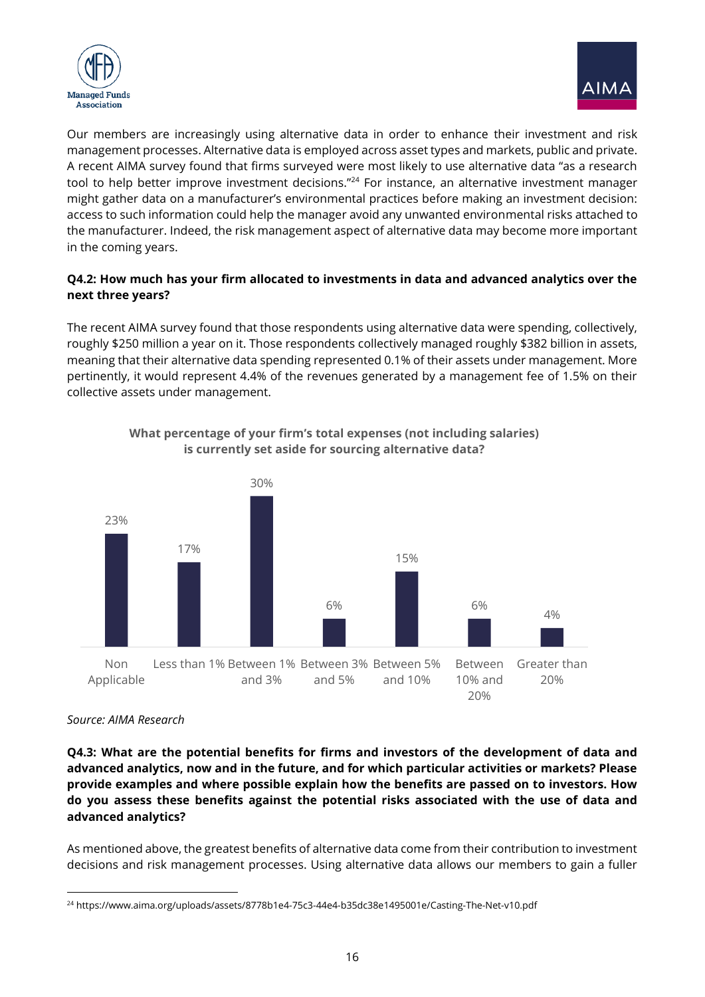



Our members are increasingly using alternative data in order to enhance their investment and risk management processes. Alternative data is employed across asset types and markets, public and private. A recent AIMA survey found that firms surveyed were most likely to use alternative data "as a research tool to help better improve investment decisions."<sup>24</sup> For instance, an alternative investment manager might gather data on a manufacturer's environmental practices before making an investment decision: access to such information could help the manager avoid any unwanted environmental risks attached to the manufacturer. Indeed, the risk management aspect of alternative data may become more important in the coming years.

#### **Q4.2: How much has your firm allocated to investments in data and advanced analytics over the next three years?**

The recent AIMA survey found that those respondents using alternative data were spending, collectively, roughly \$250 million a year on it. Those respondents collectively managed roughly \$382 billion in assets, meaning that their alternative data spending represented 0.1% of their assets under management. More pertinently, it would represent 4.4% of the revenues generated by a management fee of 1.5% on their collective assets under management.



**What percentage of your firm's total expenses (not including salaries) is currently set aside for sourcing alternative data?**

#### *Source: AIMA Research*

**Q4.3: What are the potential benefits for firms and investors of the development of data and advanced analytics, now and in the future, and for which particular activities or markets? Please provide examples and where possible explain how the benefits are passed on to investors. How do you assess these benefits against the potential risks associated with the use of data and advanced analytics?** 

As mentioned above, the greatest benefits of alternative data come from their contribution to investment decisions and risk management processes. Using alternative data allows our members to gain a fuller

<sup>24</sup> https://www.aima.org/uploads/assets/8778b1e4-75c3-44e4-b35dc38e1495001e/Casting-The-Net-v10.pdf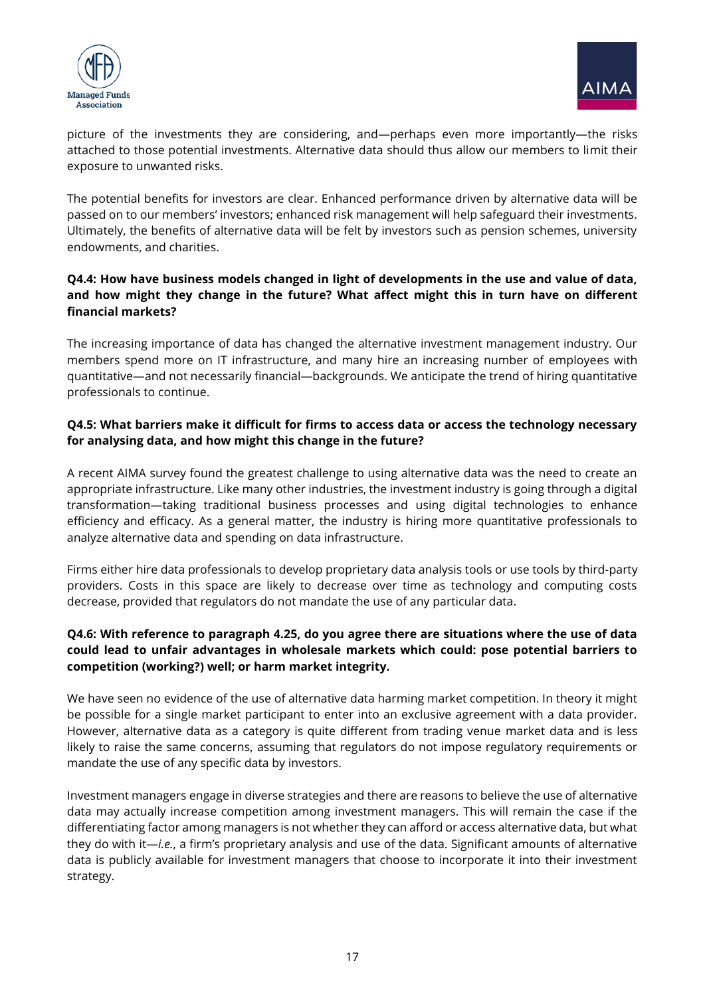



picture of the investments they are considering, and—perhaps even more importantly—the risks attached to those potential investments. Alternative data should thus allow our members to limit their exposure to unwanted risks.

The potential benefits for investors are clear. Enhanced performance driven by alternative data will be passed on to our members' investors; enhanced risk management will help safeguard their investments. Ultimately, the benefits of alternative data will be felt by investors such as pension schemes, university endowments, and charities.

#### **Q4.4: How have business models changed in light of developments in the use and value of data, and how might they change in the future? What affect might this in turn have on different financial markets?**

The increasing importance of data has changed the alternative investment management industry. Our members spend more on IT infrastructure, and many hire an increasing number of employees with quantitative—and not necessarily financial—backgrounds. We anticipate the trend of hiring quantitative professionals to continue.

# **Q4.5: What barriers make it difficult for firms to access data or access the technology necessary for analysing data, and how might this change in the future?**

A recent AIMA survey found the greatest challenge to using alternative data was the need to create an appropriate infrastructure. Like many other industries, the investment industry is going through a digital transformation—taking traditional business processes and using digital technologies to enhance efficiency and efficacy. As a general matter, the industry is hiring more quantitative professionals to analyze alternative data and spending on data infrastructure.

Firms either hire data professionals to develop proprietary data analysis tools or use tools by third-party providers. Costs in this space are likely to decrease over time as technology and computing costs decrease, provided that regulators do not mandate the use of any particular data.

#### **Q4.6: With reference to paragraph 4.25, do you agree there are situations where the use of data could lead to unfair advantages in wholesale markets which could: pose potential barriers to competition (working?) well; or harm market integrity.**

We have seen no evidence of the use of alternative data harming market competition. In theory it might be possible for a single market participant to enter into an exclusive agreement with a data provider. However, alternative data as a category is quite different from trading venue market data and is less likely to raise the same concerns, assuming that regulators do not impose regulatory requirements or mandate the use of any specific data by investors.

Investment managers engage in diverse strategies and there are reasons to believe the use of alternative data may actually increase competition among investment managers. This will remain the case if the differentiating factor among managers is not whether they can afford or access alternative data, but what they do with it—*i.e.*, a firm's proprietary analysis and use of the data. Significant amounts of alternative data is publicly available for investment managers that choose to incorporate it into their investment strategy.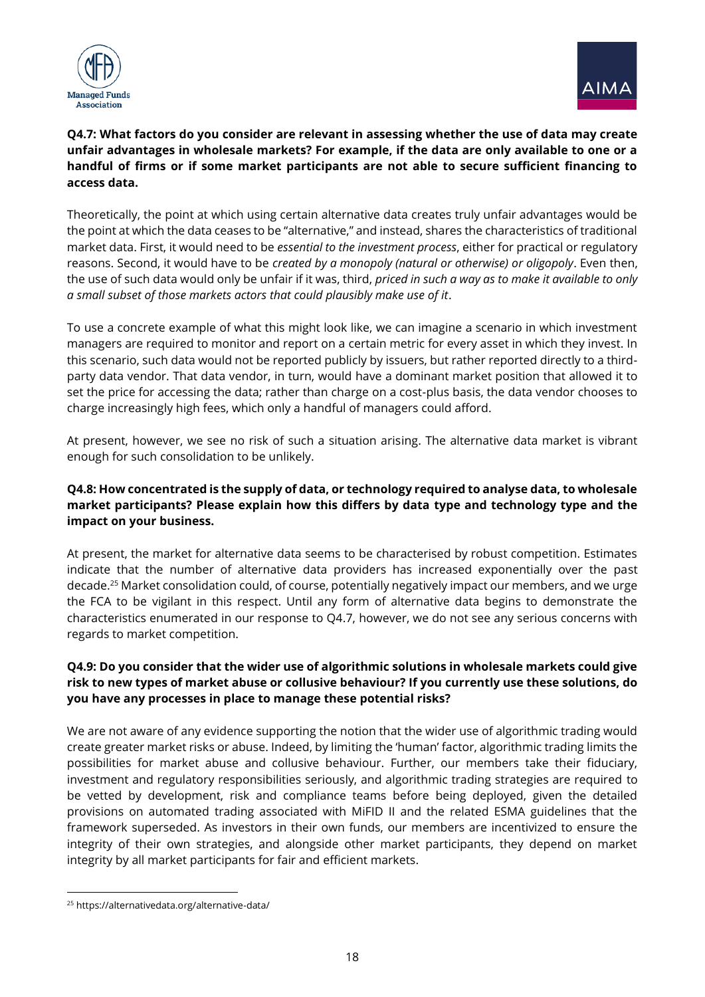



# **Q4.7: What factors do you consider are relevant in assessing whether the use of data may create unfair advantages in wholesale markets? For example, if the data are only available to one or a handful of firms or if some market participants are not able to secure sufficient financing to access data.**

Theoretically, the point at which using certain alternative data creates truly unfair advantages would be the point at which the data ceases to be "alternative," and instead, shares the characteristics of traditional market data. First, it would need to be *essential to the investment process*, either for practical or regulatory reasons. Second, it would have to be *created by a monopoly (natural or otherwise) or oligopoly*. Even then, the use of such data would only be unfair if it was, third, *priced in such a way as to make it available to only a small subset of those markets actors that could plausibly make use of it*.

To use a concrete example of what this might look like, we can imagine a scenario in which investment managers are required to monitor and report on a certain metric for every asset in which they invest. In this scenario, such data would not be reported publicly by issuers, but rather reported directly to a thirdparty data vendor. That data vendor, in turn, would have a dominant market position that allowed it to set the price for accessing the data; rather than charge on a cost-plus basis, the data vendor chooses to charge increasingly high fees, which only a handful of managers could afford.

At present, however, we see no risk of such a situation arising. The alternative data market is vibrant enough for such consolidation to be unlikely.

## **Q4.8: How concentrated is the supply of data, or technology required to analyse data, to wholesale market participants? Please explain how this differs by data type and technology type and the impact on your business.**

At present, the market for alternative data seems to be characterised by robust competition. Estimates indicate that the number of alternative data providers has increased exponentially over the past decade.<sup>25</sup> Market consolidation could, of course, potentially negatively impact our members, and we urge the FCA to be vigilant in this respect. Until any form of alternative data begins to demonstrate the characteristics enumerated in our response to Q4.7, however, we do not see any serious concerns with regards to market competition.

# **Q4.9: Do you consider that the wider use of algorithmic solutions in wholesale markets could give risk to new types of market abuse or collusive behaviour? If you currently use these solutions, do you have any processes in place to manage these potential risks?**

We are not aware of any evidence supporting the notion that the wider use of algorithmic trading would create greater market risks or abuse. Indeed, by limiting the 'human' factor, algorithmic trading limits the possibilities for market abuse and collusive behaviour. Further, our members take their fiduciary, investment and regulatory responsibilities seriously, and algorithmic trading strategies are required to be vetted by development, risk and compliance teams before being deployed, given the detailed provisions on automated trading associated with MiFID II and the related ESMA guidelines that the framework superseded. As investors in their own funds, our members are incentivized to ensure the integrity of their own strategies, and alongside other market participants, they depend on market integrity by all market participants for fair and efficient markets.

<sup>25</sup> https://alternativedata.org/alternative-data/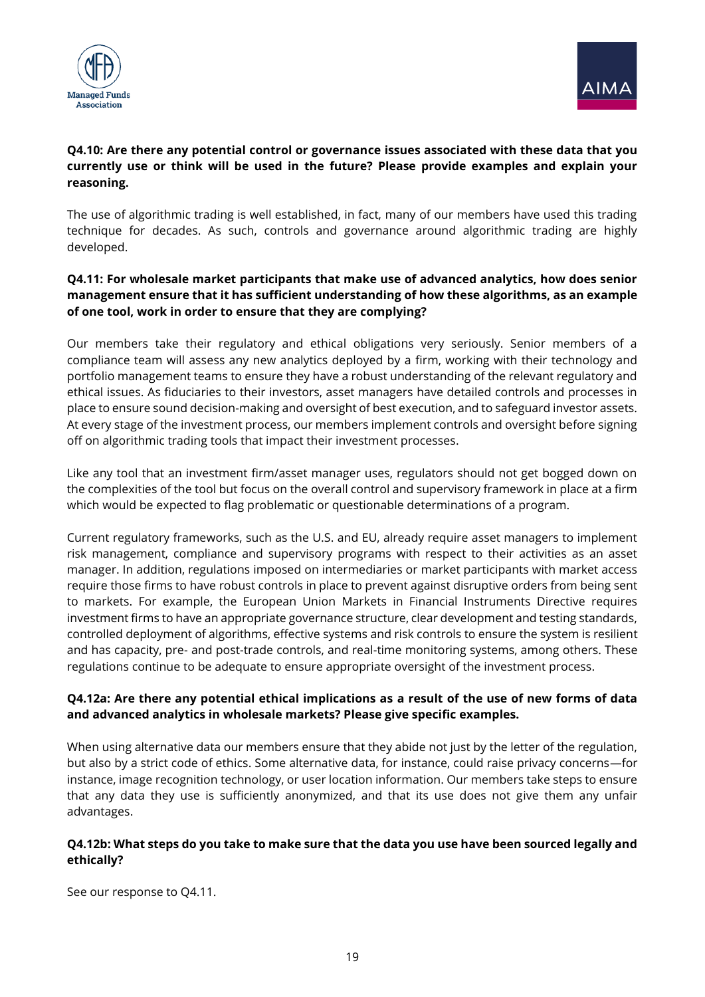



# **Q4.10: Are there any potential control or governance issues associated with these data that you currently use or think will be used in the future? Please provide examples and explain your reasoning.**

The use of algorithmic trading is well established, in fact, many of our members have used this trading technique for decades. As such, controls and governance around algorithmic trading are highly developed.

#### **Q4.11: For wholesale market participants that make use of advanced analytics, how does senior management ensure that it has sufficient understanding of how these algorithms, as an example of one tool, work in order to ensure that they are complying?**

Our members take their regulatory and ethical obligations very seriously. Senior members of a compliance team will assess any new analytics deployed by a firm, working with their technology and portfolio management teams to ensure they have a robust understanding of the relevant regulatory and ethical issues. As fiduciaries to their investors, asset managers have detailed controls and processes in place to ensure sound decision-making and oversight of best execution, and to safeguard investor assets. At every stage of the investment process, our members implement controls and oversight before signing off on algorithmic trading tools that impact their investment processes.

Like any tool that an investment firm/asset manager uses, regulators should not get bogged down on the complexities of the tool but focus on the overall control and supervisory framework in place at a firm which would be expected to flag problematic or questionable determinations of a program.

Current regulatory frameworks, such as the U.S. and EU, already require asset managers to implement risk management, compliance and supervisory programs with respect to their activities as an asset manager. In addition, regulations imposed on intermediaries or market participants with market access require those firms to have robust controls in place to prevent against disruptive orders from being sent to markets. For example, the European Union Markets in Financial Instruments Directive requires investment firms to have an appropriate governance structure, clear development and testing standards, controlled deployment of algorithms, effective systems and risk controls to ensure the system is resilient and has capacity, pre- and post-trade controls, and real-time monitoring systems, among others. These regulations continue to be adequate to ensure appropriate oversight of the investment process.

# **Q4.12a: Are there any potential ethical implications as a result of the use of new forms of data and advanced analytics in wholesale markets? Please give specific examples.**

When using alternative data our members ensure that they abide not just by the letter of the regulation, but also by a strict code of ethics. Some alternative data, for instance, could raise privacy concerns—for instance, image recognition technology, or user location information. Our members take steps to ensure that any data they use is sufficiently anonymized, and that its use does not give them any unfair advantages.

#### **Q4.12b: What steps do you take to make sure that the data you use have been sourced legally and ethically?**

See our response to Q4.11.